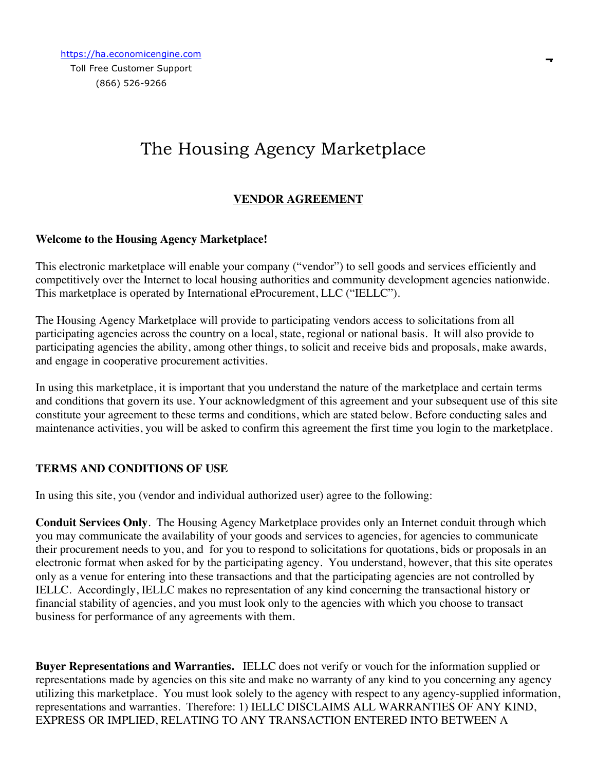# The Housing Agency Marketplace

## **VENDOR AGREEMENT**

#### **Welcome to the Housing Agency Marketplace!**

This electronic marketplace will enable your company ("vendor") to sell goods and services efficiently and competitively over the Internet to local housing authorities and community development agencies nationwide. This marketplace is operated by International eProcurement, LLC ("IELLC").

The Housing Agency Marketplace will provide to participating vendors access to solicitations from all participating agencies across the country on a local, state, regional or national basis. It will also provide to participating agencies the ability, among other things, to solicit and receive bids and proposals, make awards, and engage in cooperative procurement activities.

In using this marketplace, it is important that you understand the nature of the marketplace and certain terms and conditions that govern its use. Your acknowledgment of this agreement and your subsequent use of this site constitute your agreement to these terms and conditions, which are stated below. Before conducting sales and maintenance activities, you will be asked to confirm this agreement the first time you login to the marketplace.

### **TERMS AND CONDITIONS OF USE**

In using this site, you (vendor and individual authorized user) agree to the following:

**Conduit Services Only**. The Housing Agency Marketplace provides only an Internet conduit through which you may communicate the availability of your goods and services to agencies, for agencies to communicate their procurement needs to you, and for you to respond to solicitations for quotations, bids or proposals in an electronic format when asked for by the participating agency. You understand, however, that this site operates only as a venue for entering into these transactions and that the participating agencies are not controlled by IELLC. Accordingly, IELLC makes no representation of any kind concerning the transactional history or financial stability of agencies, and you must look only to the agencies with which you choose to transact business for performance of any agreements with them.

**Buyer Representations and Warranties.** IELLC does not verify or vouch for the information supplied or representations made by agencies on this site and make no warranty of any kind to you concerning any agency utilizing this marketplace. You must look solely to the agency with respect to any agency-supplied information, representations and warranties. Therefore: 1) IELLC DISCLAIMS ALL WARRANTIES OF ANY KIND, EXPRESS OR IMPLIED, RELATING TO ANY TRANSACTION ENTERED INTO BETWEEN A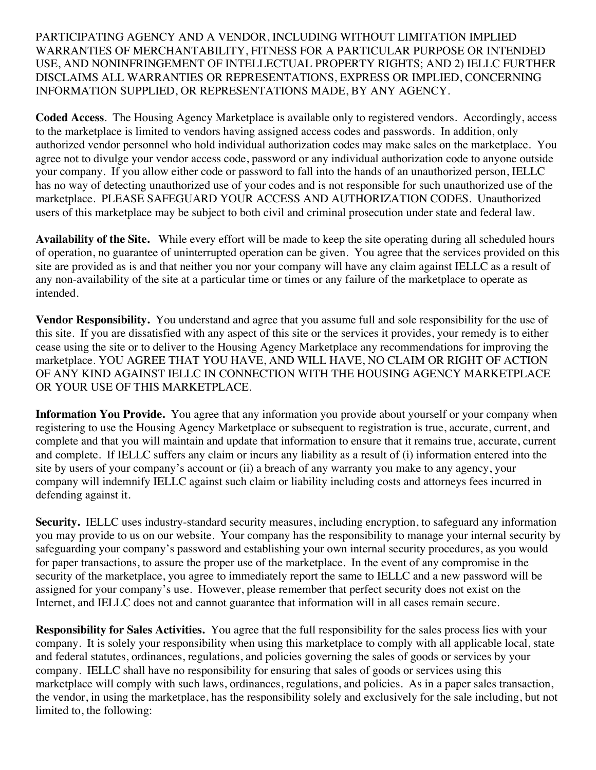PARTICIPATING AGENCY AND A VENDOR, INCLUDING WITHOUT LIMITATION IMPLIED WARRANTIES OF MERCHANTABILITY, FITNESS FOR A PARTICULAR PURPOSE OR INTENDED USE, AND NONINFRINGEMENT OF INTELLECTUAL PROPERTY RIGHTS; AND 2) IELLC FURTHER DISCLAIMS ALL WARRANTIES OR REPRESENTATIONS, EXPRESS OR IMPLIED, CONCERNING INFORMATION SUPPLIED, OR REPRESENTATIONS MADE, BY ANY AGENCY.

**Coded Access**. The Housing Agency Marketplace is available only to registered vendors. Accordingly, access to the marketplace is limited to vendors having assigned access codes and passwords. In addition, only authorized vendor personnel who hold individual authorization codes may make sales on the marketplace. You agree not to divulge your vendor access code, password or any individual authorization code to anyone outside your company. If you allow either code or password to fall into the hands of an unauthorized person, IELLC has no way of detecting unauthorized use of your codes and is not responsible for such unauthorized use of the marketplace. PLEASE SAFEGUARD YOUR ACCESS AND AUTHORIZATION CODES. Unauthorized users of this marketplace may be subject to both civil and criminal prosecution under state and federal law.

**Availability of the Site.** While every effort will be made to keep the site operating during all scheduled hours of operation, no guarantee of uninterrupted operation can be given. You agree that the services provided on this site are provided as is and that neither you nor your company will have any claim against IELLC as a result of any non-availability of the site at a particular time or times or any failure of the marketplace to operate as intended.

**Vendor Responsibility.** You understand and agree that you assume full and sole responsibility for the use of this site. If you are dissatisfied with any aspect of this site or the services it provides, your remedy is to either cease using the site or to deliver to the Housing Agency Marketplace any recommendations for improving the marketplace. YOU AGREE THAT YOU HAVE, AND WILL HAVE, NO CLAIM OR RIGHT OF ACTION OF ANY KIND AGAINST IELLC IN CONNECTION WITH THE HOUSING AGENCY MARKETPLACE OR YOUR USE OF THIS MARKETPLACE.

**Information You Provide.** You agree that any information you provide about yourself or your company when registering to use the Housing Agency Marketplace or subsequent to registration is true, accurate, current, and complete and that you will maintain and update that information to ensure that it remains true, accurate, current and complete. If IELLC suffers any claim or incurs any liability as a result of (i) information entered into the site by users of your company's account or (ii) a breach of any warranty you make to any agency, your company will indemnify IELLC against such claim or liability including costs and attorneys fees incurred in defending against it.

**Security.** IELLC uses industry-standard security measures, including encryption, to safeguard any information you may provide to us on our website. Your company has the responsibility to manage your internal security by safeguarding your company's password and establishing your own internal security procedures, as you would for paper transactions, to assure the proper use of the marketplace. In the event of any compromise in the security of the marketplace, you agree to immediately report the same to IELLC and a new password will be assigned for your company's use. However, please remember that perfect security does not exist on the Internet, and IELLC does not and cannot guarantee that information will in all cases remain secure.

**Responsibility for Sales Activities.** You agree that the full responsibility for the sales process lies with your company. It is solely your responsibility when using this marketplace to comply with all applicable local, state and federal statutes, ordinances, regulations, and policies governing the sales of goods or services by your company. IELLC shall have no responsibility for ensuring that sales of goods or services using this marketplace will comply with such laws, ordinances, regulations, and policies. As in a paper sales transaction, the vendor, in using the marketplace, has the responsibility solely and exclusively for the sale including, but not limited to, the following: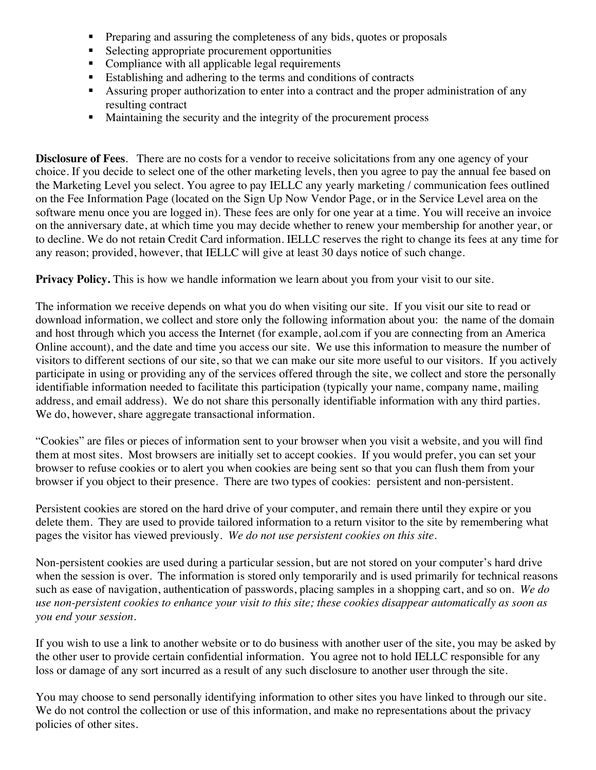- Preparing and assuring the completeness of any bids, quotes or proposals
- Selecting appropriate procurement opportunities
- Compliance with all applicable legal requirements
- Establishing and adhering to the terms and conditions of contracts
- Assuring proper authorization to enter into a contract and the proper administration of any resulting contract
- Maintaining the security and the integrity of the procurement process

**Disclosure of Fees**. There are no costs for a vendor to receive solicitations from any one agency of your choice. If you decide to select one of the other marketing levels, then you agree to pay the annual fee based on the Marketing Level you select. You agree to pay IELLC any yearly marketing / communication fees outlined on the Fee Information Page (located on the Sign Up Now Vendor Page, or in the Service Level area on the software menu once you are logged in). These fees are only for one year at a time. You will receive an invoice on the anniversary date, at which time you may decide whether to renew your membership for another year, or to decline. We do not retain Credit Card information. IELLC reserves the right to change its fees at any time for any reason; provided, however, that IELLC will give at least 30 days notice of such change.

**Privacy Policy.** This is how we handle information we learn about you from your visit to our site.

The information we receive depends on what you do when visiting our site. If you visit our site to read or download information, we collect and store only the following information about you: the name of the domain and host through which you access the Internet (for example, aol.com if you are connecting from an America Online account), and the date and time you access our site. We use this information to measure the number of visitors to different sections of our site, so that we can make our site more useful to our visitors. If you actively participate in using or providing any of the services offered through the site, we collect and store the personally identifiable information needed to facilitate this participation (typically your name, company name, mailing address, and email address). We do not share this personally identifiable information with any third parties. We do, however, share aggregate transactional information.

"Cookies" are files or pieces of information sent to your browser when you visit a website, and you will find them at most sites. Most browsers are initially set to accept cookies. If you would prefer, you can set your browser to refuse cookies or to alert you when cookies are being sent so that you can flush them from your browser if you object to their presence. There are two types of cookies: persistent and non-persistent.

Persistent cookies are stored on the hard drive of your computer, and remain there until they expire or you delete them. They are used to provide tailored information to a return visitor to the site by remembering what pages the visitor has viewed previously. *We do not use persistent cookies on this site.*

Non-persistent cookies are used during a particular session, but are not stored on your computer's hard drive when the session is over. The information is stored only temporarily and is used primarily for technical reasons such as ease of navigation, authentication of passwords, placing samples in a shopping cart, and so on. *We do use non-persistent cookies to enhance your visit to this site; these cookies disappear automatically as soon as you end your session.*

If you wish to use a link to another website or to do business with another user of the site, you may be asked by the other user to provide certain confidential information. You agree not to hold IELLC responsible for any loss or damage of any sort incurred as a result of any such disclosure to another user through the site.

You may choose to send personally identifying information to other sites you have linked to through our site. We do not control the collection or use of this information, and make no representations about the privacy policies of other sites.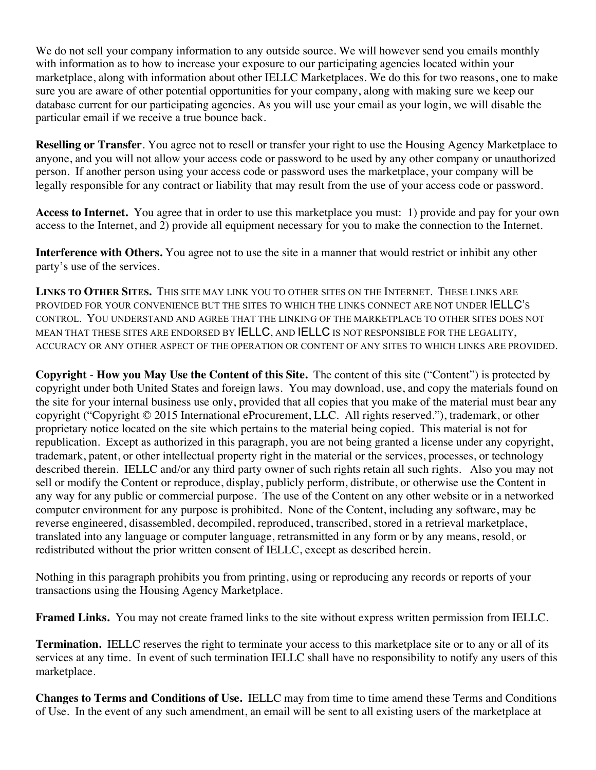We do not sell your company information to any outside source. We will however send you emails monthly with information as to how to increase your exposure to our participating agencies located within your marketplace, along with information about other IELLC Marketplaces. We do this for two reasons, one to make sure you are aware of other potential opportunities for your company, along with making sure we keep our database current for our participating agencies. As you will use your email as your login, we will disable the particular email if we receive a true bounce back.

**Reselling or Transfer**. You agree not to resell or transfer your right to use the Housing Agency Marketplace to anyone, and you will not allow your access code or password to be used by any other company or unauthorized person. If another person using your access code or password uses the marketplace, your company will be legally responsible for any contract or liability that may result from the use of your access code or password.

**Access to Internet.** You agree that in order to use this marketplace you must: 1) provide and pay for your own access to the Internet, and 2) provide all equipment necessary for you to make the connection to the Internet.

**Interference with Others.** You agree not to use the site in a manner that would restrict or inhibit any other party's use of the services.

**LINKS TO OTHER SITES.** THIS SITE MAY LINK YOU TO OTHER SITES ON THE INTERNET. THESE LINKS ARE PROVIDED FOR YOUR CONVENIENCE BUT THE SITES TO WHICH THE LINKS CONNECT ARE NOT UNDER IELLC'S CONTROL. YOU UNDERSTAND AND AGREE THAT THE LINKING OF THE MARKETPLACE TO OTHER SITES DOES NOT MEAN THAT THESE SITES ARE ENDORSED BY **IELLC**, AND **IELLC** IS NOT RESPONSIBLE FOR THE LEGALITY, ACCURACY OR ANY OTHER ASPECT OF THE OPERATION OR CONTENT OF ANY SITES TO WHICH LINKS ARE PROVIDED.

**Copyright** - **How you May Use the Content of this Site.** The content of this site ("Content") is protected by copyright under both United States and foreign laws. You may download, use, and copy the materials found on the site for your internal business use only, provided that all copies that you make of the material must bear any copyright ("Copyright © 2015 International eProcurement, LLC. All rights reserved."), trademark, or other proprietary notice located on the site which pertains to the material being copied. This material is not for republication. Except as authorized in this paragraph, you are not being granted a license under any copyright, trademark, patent, or other intellectual property right in the material or the services, processes, or technology described therein. IELLC and/or any third party owner of such rights retain all such rights. Also you may not sell or modify the Content or reproduce, display, publicly perform, distribute, or otherwise use the Content in any way for any public or commercial purpose. The use of the Content on any other website or in a networked computer environment for any purpose is prohibited. None of the Content, including any software, may be reverse engineered, disassembled, decompiled, reproduced, transcribed, stored in a retrieval marketplace, translated into any language or computer language, retransmitted in any form or by any means, resold, or redistributed without the prior written consent of IELLC, except as described herein.

Nothing in this paragraph prohibits you from printing, using or reproducing any records or reports of your transactions using the Housing Agency Marketplace.

**Framed Links.** You may not create framed links to the site without express written permission from IELLC.

**Termination.** IELLC reserves the right to terminate your access to this marketplace site or to any or all of its services at any time. In event of such termination IELLC shall have no responsibility to notify any users of this marketplace.

**Changes to Terms and Conditions of Use.** IELLC may from time to time amend these Terms and Conditions of Use. In the event of any such amendment, an email will be sent to all existing users of the marketplace at